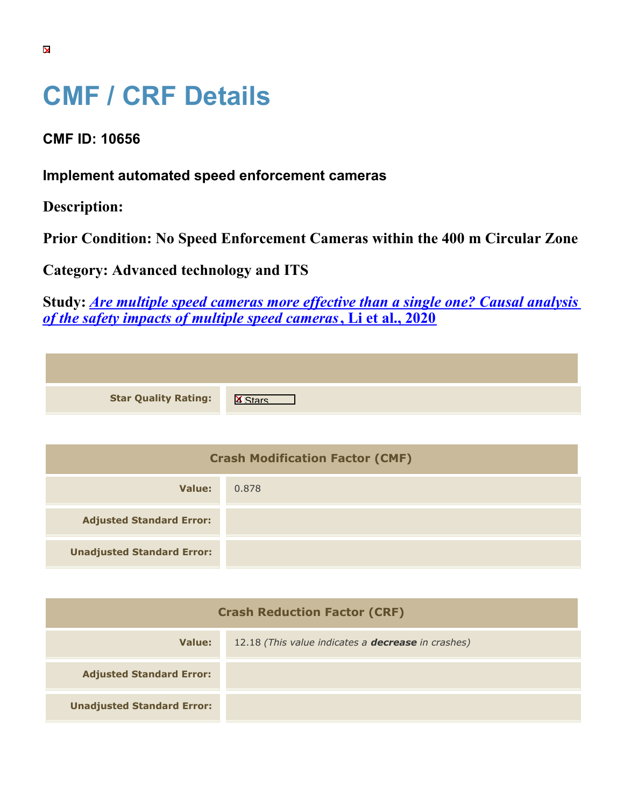## **CMF / CRF Details**

**CMF ID: 10656**

**Implement automated speed enforcement cameras**

**Description:** 

**Prior Condition: No Speed Enforcement Cameras within the 400 m Circular Zone**

**Category: Advanced technology and ITS**

**Unadjusted Standard Error:**

**Study:** *[Are multiple speed cameras more effective than a single one? Causal analysis](https://cmfclearinghouse.org/study_detail.cfm?stid=615) [of the safety impacts of multiple speed cameras](https://cmfclearinghouse.org/study_detail.cfm?stid=615)***[, Li et al., 2020](https://cmfclearinghouse.org/study_detail.cfm?stid=615)**

| <b>Star Quality Rating:</b>            | $\mathbf{X}$ |
|----------------------------------------|--------------|
|                                        |              |
| <b>Crash Modification Factor (CMF)</b> |              |
| <b>Value:</b>                          | 0.878        |
| <b>Adjusted Standard Error:</b>        |              |

| <b>Crash Reduction Factor (CRF)</b> |                                                           |  |
|-------------------------------------|-----------------------------------------------------------|--|
| Value:                              | 12.18 (This value indicates a <b>decrease</b> in crashes) |  |
| <b>Adjusted Standard Error:</b>     |                                                           |  |
| <b>Unadjusted Standard Error:</b>   |                                                           |  |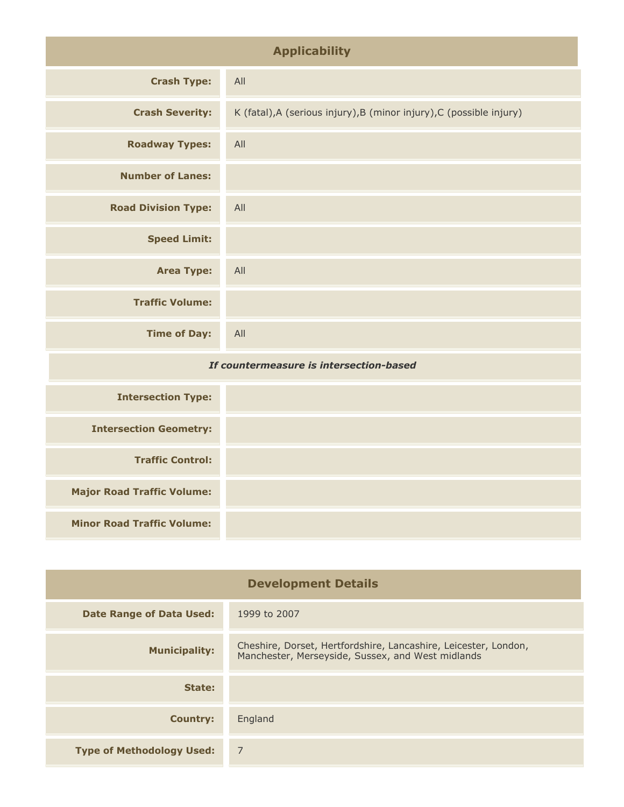| <b>Applicability</b>                    |                                                                      |
|-----------------------------------------|----------------------------------------------------------------------|
| <b>Crash Type:</b>                      | All                                                                  |
| <b>Crash Severity:</b>                  | K (fatal), A (serious injury), B (minor injury), C (possible injury) |
| <b>Roadway Types:</b>                   | All                                                                  |
| <b>Number of Lanes:</b>                 |                                                                      |
| <b>Road Division Type:</b>              | All                                                                  |
| <b>Speed Limit:</b>                     |                                                                      |
| <b>Area Type:</b>                       | All                                                                  |
| <b>Traffic Volume:</b>                  |                                                                      |
| <b>Time of Day:</b>                     | All                                                                  |
| If countermeasure is intersection-based |                                                                      |
|                                         |                                                                      |

| <b>Intersection Type:</b>         |  |
|-----------------------------------|--|
| <b>Intersection Geometry:</b>     |  |
| <b>Traffic Control:</b>           |  |
| <b>Major Road Traffic Volume:</b> |  |
| <b>Minor Road Traffic Volume:</b> |  |

| <b>Development Details</b>       |                                                                                                                      |
|----------------------------------|----------------------------------------------------------------------------------------------------------------------|
| <b>Date Range of Data Used:</b>  | 1999 to 2007                                                                                                         |
| <b>Municipality:</b>             | Cheshire, Dorset, Hertfordshire, Lancashire, Leicester, London,<br>Manchester, Merseyside, Sussex, and West midlands |
| State:                           |                                                                                                                      |
| <b>Country:</b>                  | England                                                                                                              |
| <b>Type of Methodology Used:</b> | 7                                                                                                                    |